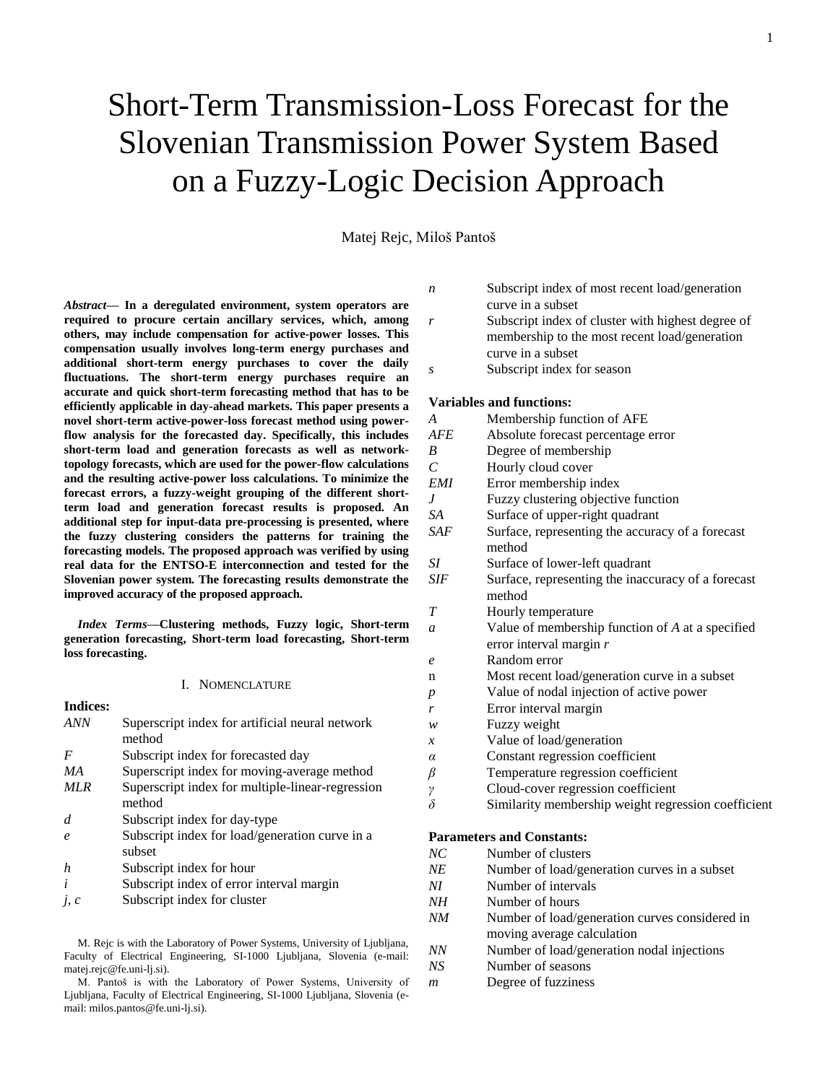# Short-Term Transmission-Loss Forecast for the Slovenian Transmission Power System Based on a Fuzzy-Logic Decision Approach

Matej Rejc, Miloš Pantoš

*Abstract***— In a deregulated environment, system operators are required to procure certain ancillary services, which, among others, may include compensation for active-power losses. This compensation usually involves long-term energy purchases and additional short-term energy purchases to cover the daily fluctuations. The short-term energy purchases require an accurate and quick short-term forecasting method that has to be efficiently applicable in day-ahead markets. This paper presents a novel short-term active-power-loss forecast method using powerflow analysis for the forecasted day. Specifically, this includes short-term load and generation forecasts as well as networktopology forecasts, which are used for the power-flow calculations and the resulting active-power loss calculations. To minimize the forecast errors, a fuzzy-weight grouping of the different shortterm load and generation forecast results is proposed. An additional step for input-data pre-processing is presented, where the fuzzy clustering considers the patterns for training the forecasting models. The proposed approach was verified by using real data for the ENTSO-E interconnection and tested for the Slovenian power system. The forecasting results demonstrate the improved accuracy of the proposed approach.**

*Index Terms***—Clustering methods, Fuzzy logic, Short-term generation forecasting, Short-term load forecasting, Short-term loss forecasting.**

#### I. NOMENCLATURE

| <b>Indices:</b>     |                                                            |
|---------------------|------------------------------------------------------------|
| <b>ANN</b>          | Superscript index for artificial neural network<br>method  |
| F                   | Subscript index for forecasted day                         |
| МA                  | Superscript index for moving-average method                |
| MLR                 | Superscript index for multiple-linear-regression<br>method |
| d                   | Subscript index for day-type                               |
| $\boldsymbol{\ell}$ | Subscript index for load/generation curve in a<br>subset   |
| h                   | Subscript index for hour                                   |
| i                   | Subscript index of error interval margin                   |
| i, c                | Subscript index for cluster                                |

M. Rejc is with the Laboratory of Power Systems, University of Ljubljana, Faculty of Electrical Engineering, SI-1000 Ljubljana, Slovenia (e-mail: matej.rejc@fe.uni-lj.si).

M. Pantoš is with the Laboratory of Power Systems, University of Ljubljana, Faculty of Electrical Engineering, SI-1000 Ljubljana, Slovenia (email: milos.pantos@fe.uni-lj.si).

| n | Subscript index of most recent load/generation    |
|---|---------------------------------------------------|
|   | curve in a subset                                 |
| r | Subscript index of cluster with highest degree of |
|   | membership to the most recent load/generation     |
|   | curve in a subset                                 |

*s* Subscript index for season

#### **Variables and functions:**

| $\boldsymbol{A}$      | Membership function of AFE                                   |
|-----------------------|--------------------------------------------------------------|
| <b>AFE</b>            | Absolute forecast percentage error                           |
| B                     | Degree of membership                                         |
| $\mathcal{C}_{0}^{0}$ | Hourly cloud cover                                           |
| EMI                   | Error membership index                                       |
| $J_{-}$               | Fuzzy clustering objective function                          |
| SA                    | Surface of upper-right quadrant                              |
| <b>SAF</b>            | Surface, representing the accuracy of a forecast<br>method   |
| SI                    | Surface of lower-left quadrant                               |
| <b>SIF</b>            | Surface, representing the inaccuracy of a forecast<br>method |
| T                     | Hourly temperature                                           |
| a                     | Value of membership function of A at a specified             |
|                       | error interval margin $r$                                    |
| $\ell$                | Random error                                                 |
| n                     | Most recent load/generation curve in a subset                |
| $\boldsymbol{p}$      | Value of nodal injection of active power                     |
| r                     | Error interval margin                                        |
| w                     | Fuzzy weight                                                 |
| x                     | Value of load/generation                                     |
| α                     | Constant regression coefficient                              |
| β                     | Temperature regression coefficient                           |
| γ                     | Cloud-cover regression coefficient                           |
| δ                     | Similarity membership weight regression coefficient          |
|                       | <b>Parameters and Constants:</b>                             |
| NC                    | Number of clusters                                           |
| ΝE                    | Number of load/generation curves in a subset                 |
| M                     | Number of intervals                                          |
| NΗ                    | Number of hours                                              |
| NM                    | Number of load/generation curves considered in               |
|                       | moving average calculation                                   |
| NN                    | Number of load/generation nodal injections                   |
| NS                    | Number of seasons                                            |
| m                     | Degree of fuzziness                                          |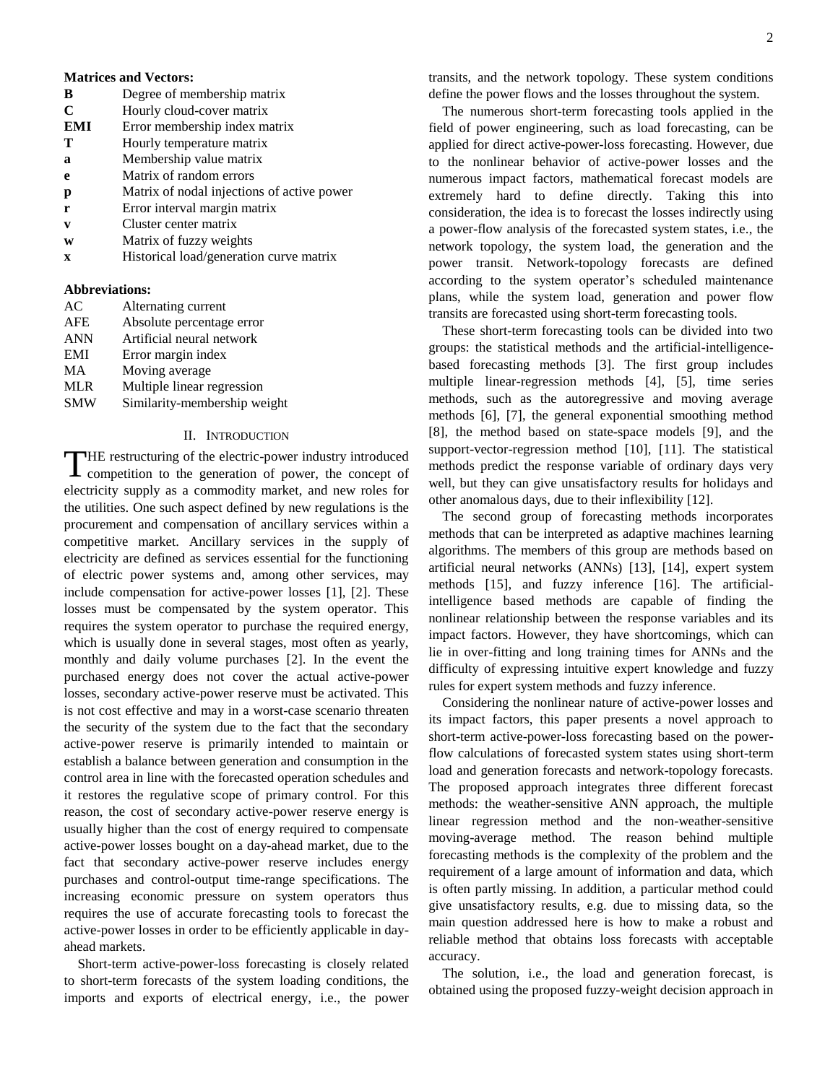#### **Matrices and Vectors:**

**B** Degree of membership matrix

**C** Hourly cloud-cover matrix

- **EMI** Error membership index matrix
- **T** Hourly temperature matrix
- **a** Membership value matrix
- **e** Matrix of random errors
- **p** Matrix of nodal injections of active power
- **r** Error interval margin matrix
- **v** Cluster center matrix
- **w** Matrix of fuzzy weights
- **x** Historical load/generation curve matrix

# **Abbreviations:**

| AC         | Alternating current          |
|------------|------------------------------|
| <b>AFE</b> | Absolute percentage error    |
| <b>ANN</b> | Artificial neural network    |
| <b>EMI</b> | Error margin index           |
| <b>MA</b>  | Moving average               |
| <b>MLR</b> | Multiple linear regression   |
| <b>SMW</b> | Similarity-membership weight |
|            |                              |

## II. INTRODUCTION

THE restructuring of the electric-power industry introduced competition to the generation of power, the concept of  $\blacksquare$  competition to the generation of power, the concept of electricity supply as a commodity market, and new roles for the utilities. One such aspect defined by new regulations is the procurement and compensation of ancillary services within a competitive market. Ancillary services in the supply of electricity are defined as services essential for the functioning of electric power systems and, among other services, may include compensation for active-power losses [\[1\],](#page-10-0) [\[2\].](#page-10-1) These losses must be compensated by the system operator. This requires the system operator to purchase the required energy, which is usually done in several stages, most often as yearly, monthly and daily volume purchases [\[2\].](#page-10-1) In the event the purchased energy does not cover the actual active-power losses, secondary active-power reserve must be activated. This is not cost effective and may in a worst-case scenario threaten the security of the system due to the fact that the secondary active-power reserve is primarily intended to maintain or establish a balance between generation and consumption in the control area in line with the forecasted operation schedules and it restores the regulative scope of primary control. For this reason, the cost of secondary active-power reserve energy is usually higher than the cost of energy required to compensate active-power losses bought on a day-ahead market, due to the fact that secondary active-power reserve includes energy purchases and control-output time-range specifications. The increasing economic pressure on system operators thus requires the use of accurate forecasting tools to forecast the active-power losses in order to be efficiently applicable in dayahead markets.

Short-term active-power-loss forecasting is closely related to short-term forecasts of the system loading conditions, the imports and exports of electrical energy, i.e., the power transits, and the network topology. These system conditions define the power flows and the losses throughout the system.

The numerous short-term forecasting tools applied in the field of power engineering, such as load forecasting, can be applied for direct active-power-loss forecasting. However, due to the nonlinear behavior of active-power losses and the numerous impact factors, mathematical forecast models are extremely hard to define directly. Taking this into consideration, the idea is to forecast the losses indirectly using a power-flow analysis of the forecasted system states, i.e., the network topology, the system load, the generation and the power transit. Network-topology forecasts are defined according to the system operator's scheduled maintenance plans, while the system load, generation and power flow transits are forecasted using short-term forecasting tools.

These short-term forecasting tools can be divided into two groups: the statistical methods and the artificial-intelligencebased forecasting methods [\[3\].](#page-10-2) The first group includes multiple linear-regression methods [\[4\],](#page-10-3) [\[5\],](#page-10-4) time series methods, such as the autoregressive and moving average methods [\[6\],](#page-10-5) [\[7\],](#page-10-6) the general exponential smoothing method [\[8\],](#page-10-7) the method based on state-space models [\[9\],](#page-10-8) and the support-vector-regression method [\[10\],](#page-10-9) [\[11\].](#page-10-10) The statistical methods predict the response variable of ordinary days very well, but they can give unsatisfactory results for holidays and other anomalous days, due to their inflexibility [\[12\].](#page-10-11)

The second group of forecasting methods incorporates methods that can be interpreted as adaptive machines learning algorithms. The members of this group are methods based on artificial neural networks (ANNs) [\[13\],](#page-10-12) [\[14\],](#page-10-13) expert system methods [\[15\],](#page-10-14) and fuzzy inference [\[16\].](#page-10-15) The artificialintelligence based methods are capable of finding the nonlinear relationship between the response variables and its impact factors. However, they have shortcomings, which can lie in over-fitting and long training times for ANNs and the difficulty of expressing intuitive expert knowledge and fuzzy rules for expert system methods and fuzzy inference.

Considering the nonlinear nature of active-power losses and its impact factors, this paper presents a novel approach to short-term active-power-loss forecasting based on the powerflow calculations of forecasted system states using short-term load and generation forecasts and network-topology forecasts. The proposed approach integrates three different forecast methods: the weather-sensitive ANN approach, the multiple linear regression method and the non-weather-sensitive moving-average method. The reason behind multiple forecasting methods is the complexity of the problem and the requirement of a large amount of information and data, which is often partly missing. In addition, a particular method could give unsatisfactory results, e.g. due to missing data, so the main question addressed here is how to make a robust and reliable method that obtains loss forecasts with acceptable accuracy.

The solution, i.e., the load and generation forecast, is obtained using the proposed fuzzy-weight decision approach in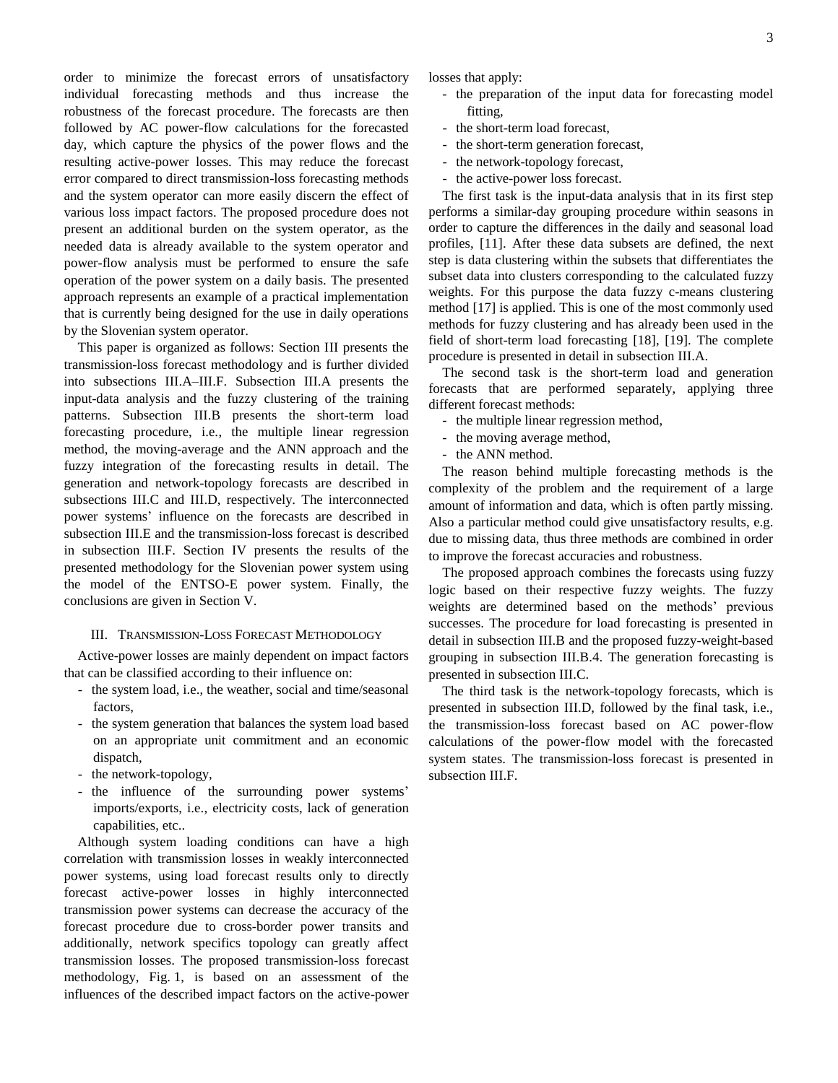order to minimize the forecast errors of unsatisfactory individual forecasting methods and thus increase the robustness of the forecast procedure. The forecasts are then followed by AC power-flow calculations for the forecasted day, which capture the physics of the power flows and the resulting active-power losses. This may reduce the forecast error compared to direct transmission-loss forecasting methods and the system operator can more easily discern the effect of various loss impact factors. The proposed procedure does not present an additional burden on the system operator, as the needed data is already available to the system operator and power-flow analysis must be performed to ensure the safe operation of the power system on a daily basis. The presented approach represents an example of a practical implementation that is currently being designed for the use in daily operations by the Slovenian system operator.

This paper is organized as follows: Section III presents the transmission-loss forecast methodology and is further divided into subsections III.A–III.F. Subsection III.A presents the input-data analysis and the fuzzy clustering of the training patterns. Subsection III.B presents the short-term load forecasting procedure, i.e., the multiple linear regression method, the moving-average and the ANN approach and the fuzzy integration of the forecasting results in detail. The generation and network-topology forecasts are described in subsections III.C and III.D, respectively. The interconnected power systems' influence on the forecasts are described in subsection III.E and the transmission-loss forecast is described in subsection III.F. Section IV presents the results of the presented methodology for the Slovenian power system using the model of the ENTSO-E power system. Finally, the conclusions are given in Section V.

## III. TRANSMISSION-LOSS FORECAST METHODOLOGY

Active-power losses are mainly dependent on impact factors that can be classified according to their influence on:

- the system load, i.e., the weather, social and time/seasonal factors,
- the system generation that balances the system load based on an appropriate unit commitment and an economic dispatch,
- the network-topology,
- the influence of the surrounding power systems' imports/exports, i.e., electricity costs, lack of generation capabilities, etc..

Although system loading conditions can have a high correlation with transmission losses in weakly interconnected power systems, using load forecast results only to directly forecast active-power losses in highly interconnected transmission power systems can decrease the accuracy of the forecast procedure due to cross-border power transits and additionally, network specifics topology can greatly affect transmission losses. The proposed transmission-loss forecast methodology, Fig. 1, is based on an assessment of the influences of the described impact factors on the active-power losses that apply:

- the preparation of the input data for forecasting model fitting,
- the short-term load forecast,
- the short-term generation forecast,
- the network-topology forecast,
- the active-power loss forecast.

The first task is the input-data analysis that in its first step performs a similar-day grouping procedure within seasons in order to capture the differences in the daily and seasonal load profiles, [\[11\].](#page-10-10) After these data subsets are defined, the next step is data clustering within the subsets that differentiates the subset data into clusters corresponding to the calculated fuzzy weights. For this purpose the data fuzzy c-means clustering method [\[17\]](#page-10-16) is applied. This is one of the most commonly used methods for fuzzy clustering and has already been used in the field of short-term load forecasting [\[18\],](#page-10-17) [\[19\].](#page-10-18) The complete procedure is presented in detail in subsection III.A.

The second task is the short-term load and generation forecasts that are performed separately, applying three different forecast methods:

- the multiple linear regression method,
- the moving average method,
- the ANN method.

The reason behind multiple forecasting methods is the complexity of the problem and the requirement of a large amount of information and data, which is often partly missing. Also a particular method could give unsatisfactory results, e.g. due to missing data, thus three methods are combined in order to improve the forecast accuracies and robustness.

The proposed approach combines the forecasts using fuzzy logic based on their respective fuzzy weights. The fuzzy weights are determined based on the methods' previous successes. The procedure for load forecasting is presented in detail in subsection III.B and the proposed fuzzy-weight-based grouping in subsection III.B.4. The generation forecasting is presented in subsection III.C.

The third task is the network-topology forecasts, which is presented in subsection III.D, followed by the final task, i.e., the transmission-loss forecast based on AC power-flow calculations of the power-flow model with the forecasted system states. The transmission-loss forecast is presented in subsection III.F.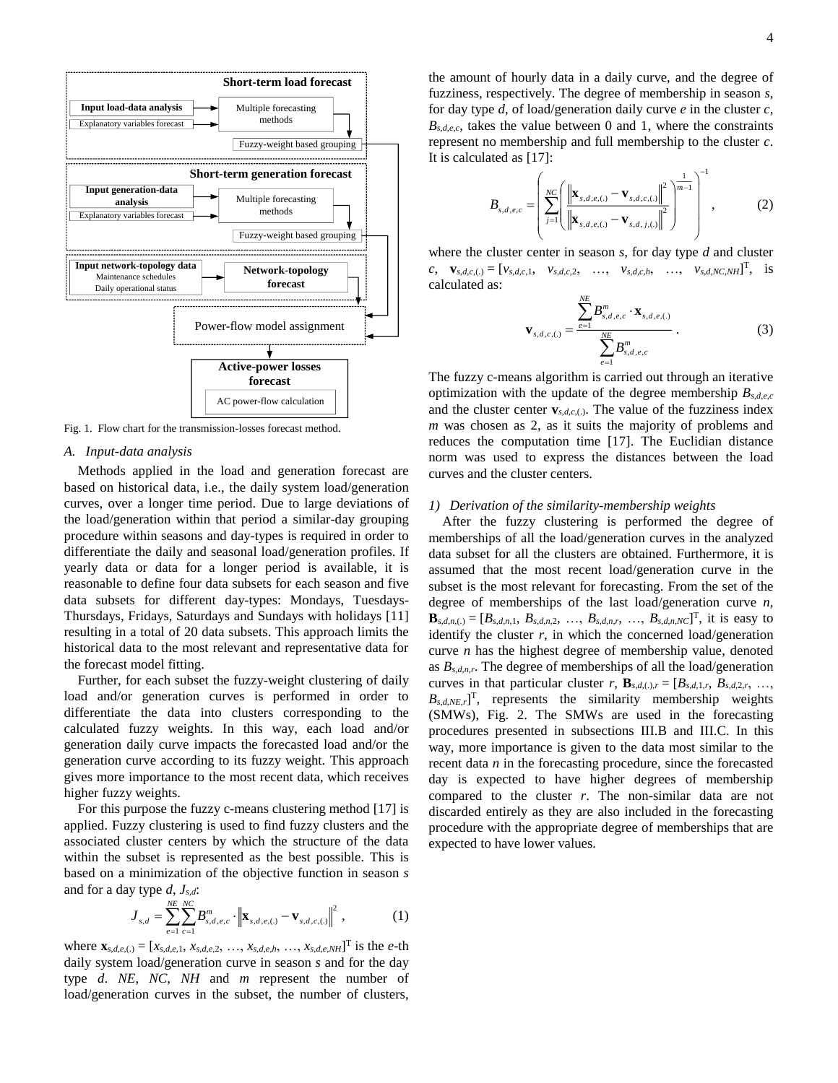

Fig. 1. Flow chart for the transmission-losses forecast method.

#### *A. Input-data analysis*

Methods applied in the load and generation forecast are based on historical data, i.e., the daily system load/generation curves, over a longer time period. Due to large deviations of the load/generation within that period a similar-day grouping procedure within seasons and day-types is required in order to differentiate the daily and seasonal load/generation profiles. If yearly data or data for a longer period is available, it is reasonable to define four data subsets for each season and five data subsets for different day-types: Mondays, Tuesdays-Thursdays, Fridays, Saturdays and Sundays with holidays [\[11\]](#page-10-10) resulting in a total of 20 data subsets. This approach limits the historical data to the most relevant and representative data for the forecast model fitting.

Further, for each subset the fuzzy-weight clustering of daily load and/or generation curves is performed in order to differentiate the data into clusters corresponding to the calculated fuzzy weights. In this way, each load and/or generation daily curve impacts the forecasted load and/or the generation curve according to its fuzzy weight. This approach gives more importance to the most recent data, which receives higher fuzzy weights.

For this purpose the fuzzy c-means clustering method [\[17\]](#page-10-16) is applied. Fuzzy clustering is used to find fuzzy clusters and the associated cluster centers by which the structure of the data within the subset is represented as the best possible. This is based on a minimization of the objective function in season *s* and for a day type *d*, *Js,d*:

$$
\mathbf{J}_{s,d} = \sum_{e=1}^{NE} \sum_{c=1}^{NC} B_{s,d,e,c}^{m} \cdot \left\| \mathbf{x}_{s,d,e,(.)} - \mathbf{v}_{s,d,c,(.)} \right\|^{2}, \qquad (1)
$$

where  $\mathbf{x}_{s,d,e,(.)} = [x_{s,d,e,1}, x_{s,d,e,2}, ..., x_{s,d,e,h}, ..., x_{s,d,e,NH}]^T$  is the *e*-th daily system load/generation curve in season *s* and for the day type *d*. *NE*, *NC*, *NH* and *m* represent the number of load/generation curves in the subset, the number of clusters,

the amount of hourly data in a daily curve, and the degree of fuzziness, respectively. The degree of membership in season *s*, for day type *d*, of load/generation daily curve *e* in the cluster *c*,  $B_{s,d,e,c}$ , takes the value between 0 and 1, where the constraints represent no membership and full membership to the cluster *c*. It is calculated as [\[17\]:](#page-10-16)

$$
B_{s,d,e,c} = \left( \sum_{j=1}^{NC} \left( \frac{\left\| \mathbf{x}_{s,d,e,(.)} - \mathbf{v}_{s,d,c,(.)} \right\|^2}{\left\| \mathbf{x}_{s,d,e,(.)} - \mathbf{v}_{s,d,j,(.)} \right\|^2} \right)^{\frac{1}{m-1}} \right)^{-1},
$$
(2)

where the cluster center in season *s*, for day type *d* and cluster  $c, \mathbf{v}_{s,d,c,(.)} = [v_{s,d,c,1}, v_{s,d,c,2}, ..., v_{s,d,c,h}, ..., v_{s,d,NC,NH}]^T$ , is calculated as:

$$
\mathbf{v}_{s,d,c,(.)} = \frac{\sum_{e=1}^{NE} B_{s,d,e,c}^m \cdot \mathbf{x}_{s,d,e,(.)}}{\sum_{e=1}^{NE} B_{s,d,e,c}^m} .
$$
 (3)

The fuzzy c-means algorithm is carried out through an iterative optimization with the update of the degree membership  $B_{s,d,e,c}$ and the cluster center  $\mathbf{v}_{s,d,c,(.)}$ . The value of the fuzziness index *m* was chosen as 2, as it suits the majority of problems and reduces the computation time [\[17\].](#page-10-16) The Euclidian distance norm was used to express the distances between the load curves and the cluster centers.

#### *1) Derivation of the similarity-membership weights*

After the fuzzy clustering is performed the degree of memberships of all the load/generation curves in the analyzed data subset for all the clusters are obtained. Furthermore, it is assumed that the most recent load/generation curve in the subset is the most relevant for forecasting. From the set of the degree of memberships of the last load/generation curve *n*,  $\mathbf{B}_{s,d,n,(.)} = [B_{s,d,n,1}, B_{s,d,n,2}, ..., B_{s,d,n,r}, ..., B_{s,d,n,NC}]^{T}$ , it is easy to identify the cluster  $r$ , in which the concerned load/generation curve *n* has the highest degree of membership value, denoted as  $B_{s,d,n,r}$ . The degree of memberships of all the load/generation curves in that particular cluster  $r$ ,  $\mathbf{B}_{s,d,(.), r} = [B_{s,d,1,r}, B_{s,d,2,r}, \ldots,$  $B_{s,d,NE,r}]^T$ , represents the similarity membership weights (SMWs), Fig. 2. The SMWs are used in the forecasting procedures presented in subsections III.B and III.C. In this way, more importance is given to the data most similar to the recent data *n* in the forecasting procedure, since the forecasted day is expected to have higher degrees of membership compared to the cluster *r*. The non-similar data are not discarded entirely as they are also included in the forecasting procedure with the appropriate degree of memberships that are expected to have lower values.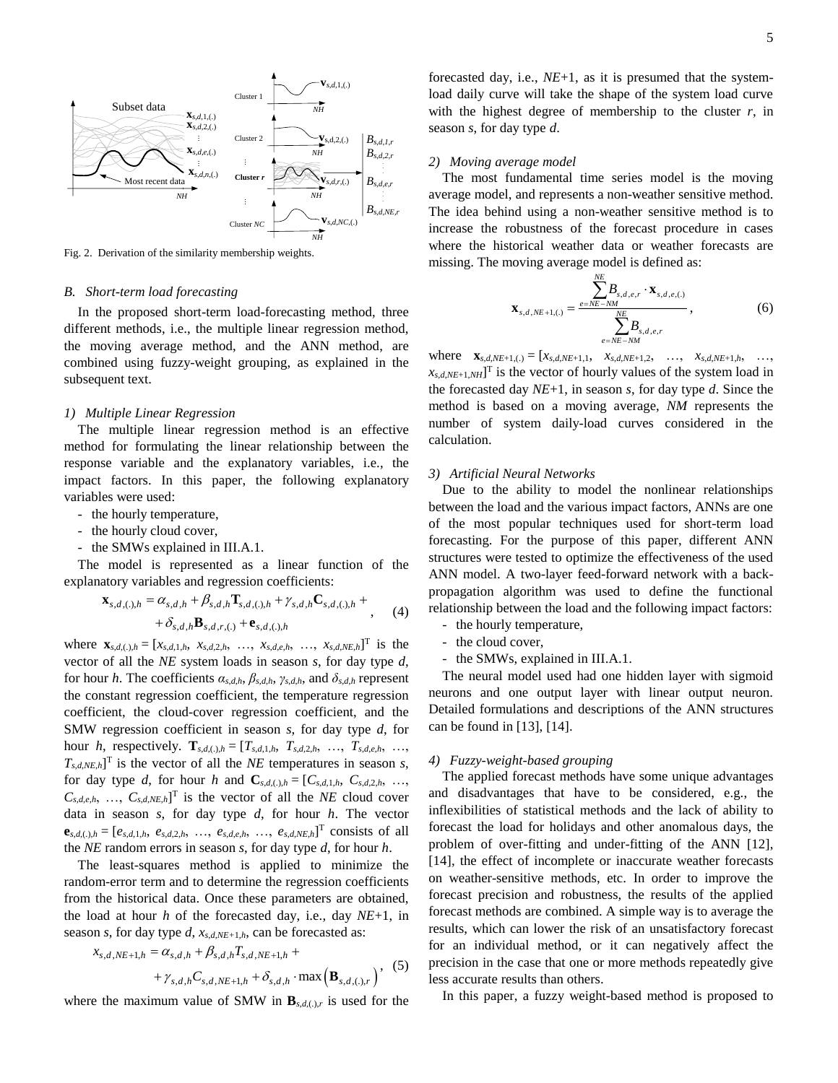

Fig. 2. Derivation of the similarity membership weights.

## *B. Short-term load forecasting*

In the proposed short-term load-forecasting method, three different methods, i.e., the multiple linear regression method, the moving average method, and the ANN method, are combined using fuzzy-weight grouping, as explained in the subsequent text.

## *1) Multiple Linear Regression*

The multiple linear regression method is an effective method for formulating the linear relationship between the response variable and the explanatory variables, i.e., the impact factors. In this paper, the following explanatory variables were used:

- the hourly temperature,
- the hourly cloud cover,
- the SMWs explained in III.A.1.

The model is represented as a linear function of the explanatory variables and regression coefficients:

$$
\mathbf{x}_{s,d,(.),h} = \alpha_{s,d,h} + \beta_{s,d,h} \mathbf{T}_{s,d,(.),h} + \gamma_{s,d,h} \mathbf{C}_{s,d,(.),h} + \n+ \delta_{s,d,h} \mathbf{B}_{s,d,r,(.)} + \mathbf{e}_{s,d,(.),h}
$$
\n(4)

where  $\mathbf{x}_{s,d,(.),h} = [x_{s,d,1,h}, x_{s,d,2,h}, ..., x_{s,d,e,h}, ..., x_{s,d,NE,h}]^T$  is the vector of all the *NE* system loads in season *s*, for day type *d*, for hour *h*. The coefficients  $\alpha_{s,d,h}$ ,  $\beta_{s,d,h}$ ,  $\gamma_{s,d,h}$ , and  $\delta_{s,d,h}$  represent the constant regression coefficient, the temperature regression coefficient, the cloud-cover regression coefficient, and the SMW regression coefficient in season *s*, for day type *d*, for hour *h*, respectively.  $\mathbf{T}_{s,d,(.),h} = [T_{s,d,1,h}, T_{s,d,2,h}, ..., T_{s,d,e,h}, ...,$  $T_{s,d,NE,h}$ <sup>T</sup> is the vector of all the *NE* temperatures in season *s*, for day type *d*, for hour *h* and  $\mathbf{C}_{s,d,(.),h} = [C_{s,d,1,h}, C_{s,d,2,h}, \ldots,$  $C_{s,d,e,h}$ , ...,  $C_{s,d,NE,h}$ <sup>T</sup> is the vector of all the *NE* cloud cover data in season *s*, for day type *d*, for hour *h*. The vector  ${\bf e}_{s,d,(.),h} = [e_{s,d,1,h}, e_{s,d,2,h}, ..., e_{s,d,e,h}, ..., e_{s,d,NE,h}]^T$  consists of all the *NE* random errors in season *s*, for day type *d*, for hour *h*.

The least-squares method is applied to minimize the random-error term and to determine the regression coefficients from the historical data. Once these parameters are obtained, the load at hour *h* of the forecasted day, i.e., day *NE*+1, in season *s*, for day type *d*, *xs*,*d*,*NE+*1,*h*, can be forecasted as:

$$
x_{s,d,NE+1,h} = \alpha_{s,d,h} + \beta_{s,d,h} T_{s,d,NE+1,h} ++ \gamma_{s,d,h} C_{s,d,NE+1,h} + \delta_{s,d,h} \cdot \max\left(\mathbf{B}_{s,d,(.),r}\right), (5)
$$

where the maximum value of SMW in  $\mathbf{B}_{s,d,(.)r}$  is used for the

forecasted day, i.e., *NE*+1, as it is presumed that the systemload daily curve will take the shape of the system load curve with the highest degree of membership to the cluster *r*, in season *s*, for day type *d*.

## *2) Moving average model*

The most fundamental time series model is the moving average model, and represents a non-weather sensitive method. The idea behind using a non-weather sensitive method is to increase the robustness of the forecast procedure in cases where the historical weather data or weather forecasts are missing. The moving average model is defined as:

$$
\mathbf{x}_{s,d,NE+1,(.)} = \frac{\sum_{e=NE-NM}^{NE} B_{s,d,e,r} \cdot \mathbf{x}_{s,d,e,(.)}}{\sum_{e=NE-NM}^{NE} B_{s,d,e,r}},
$$
(6)

where  $\mathbf{x}_{s,d,NE+1,(.)} = [x_{s,d,NE+1,1}, x_{s,d,NE+1,2}, ..., x_{s,d,NE+1,h}, ...,$  $x_{s,d,NE+1,NH}$ <sup>T</sup> is the vector of hourly values of the system load in the forecasted day *NE*+1, in season *s*, for day type *d*. Since the method is based on a moving average, *NM* represents the number of system daily-load curves considered in the calculation.

# *3) Artificial Neural Networks*

Due to the ability to model the nonlinear relationships between the load and the various impact factors, ANNs are one of the most popular techniques used for short-term load forecasting. For the purpose of this paper, different ANN structures were tested to optimize the effectiveness of the used ANN model. A two-layer feed-forward network with a backpropagation algorithm was used to define the functional relationship between the load and the following impact factors:

- the hourly temperature,
- the cloud cover,
- the SMWs, explained in III.A.1.

The neural model used had one hidden layer with sigmoid neurons and one output layer with linear output neuron. Detailed formulations and descriptions of the ANN structures can be found in [\[13\],](#page-10-12) [\[14\].](#page-10-13)

## *4) Fuzzy-weight-based grouping*

The applied forecast methods have some unique advantages and disadvantages that have to be considered, e.g., the inflexibilities of statistical methods and the lack of ability to forecast the load for holidays and other anomalous days, the problem of over-fitting and under-fitting of the ANN [\[12\],](#page-10-11) [\[14\],](#page-10-13) the effect of incomplete or inaccurate weather forecasts on weather-sensitive methods, etc. In order to improve the forecast precision and robustness, the results of the applied forecast methods are combined. A simple way is to average the results, which can lower the risk of an unsatisfactory forecast for an individual method, or it can negatively affect the precision in the case that one or more methods repeatedly give less accurate results than others.

In this paper, a fuzzy weight-based method is proposed to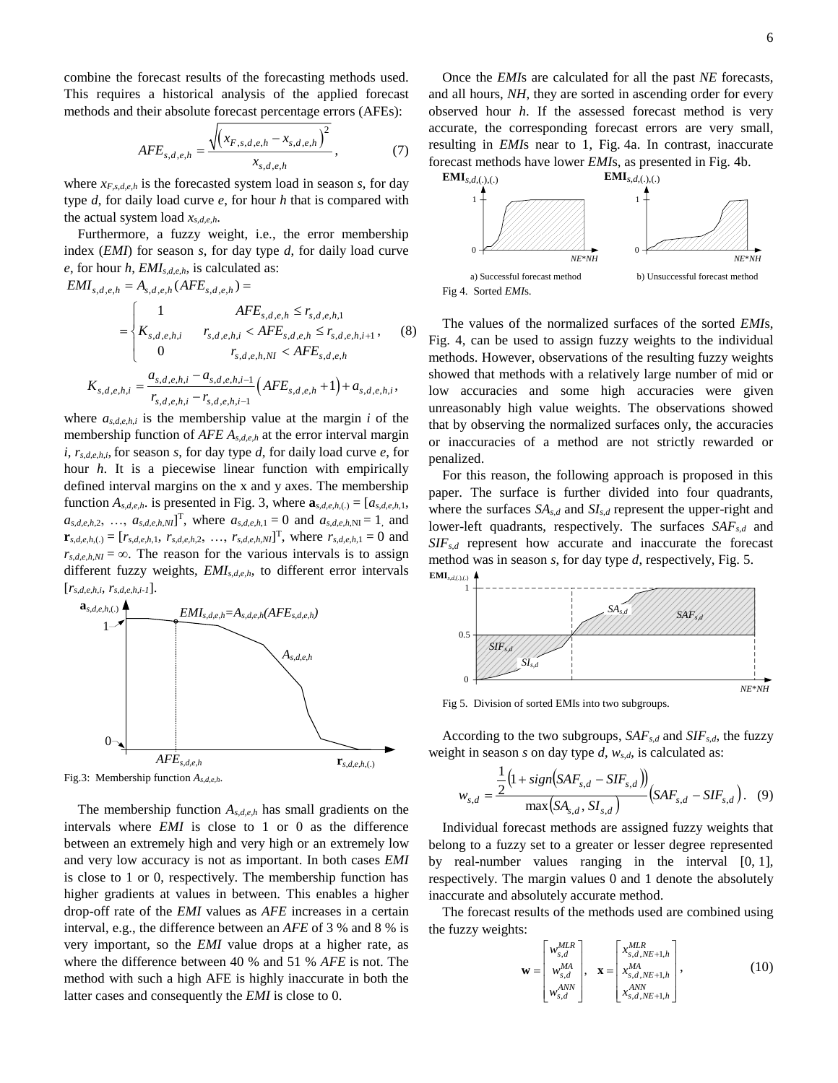combine the forecast results of the forecasting methods used. This requires a historical analysis of the applied forecast methods and their absolute forecast percentage errors (AFEs):

$$
AFE_{s,d,e,h} = \frac{\sqrt{(x_{F,s,d,e,h} - x_{s,d,e,h})^2}}{x_{s,d,e,h}},
$$
 (7)

where  $x_{F,s,d,e,h}$  is the forecasted system load in season *s*, for day type *d*, for daily load curve *e*, for hour *h* that is compared with the actual system load *xs*,*d*,*e*,*h*.

Furthermore, a fuzzy weight, i.e., the error membership index (*EMI*) for season *s*, for day type *d*, for daily load curve *e*, for hour *h*, *EMIs*,*d*,*e*,*h*, is calculated as:

$$
EMI_{s,d,e,h} = A_{s,d,e,h}(AFE_{s,d,e,h}) =
$$
\n
$$
= \begin{cases}\n1 & AFE_{s,d,e,h} \le r_{s,d,e,h,1} \\
K_{s,d,e,h,i} & r_{s,d,e,h,i} < AFE_{s,d,e,h} \le r_{s,d,e,h,i+1}, \\
0 & r_{s,d,e,h,NI} < AFE_{s,d,e,h} \\
K_{s,d,e,h,i} = \frac{a_{s,d,e,h,i} - a_{s,d,e,h,i-1}}{r_{s,d,e,h,i} - r_{s,d,e,h,i-1}} \left( AFE_{s,d,e,h} + 1 \right) + a_{s,d,e,h,i},\n\end{cases}
$$
\n
$$
(8)
$$

where  $a_{s,d,e,h,i}$  is the membership value at the margin *i* of the membership function of *AFE As,d,e,h* at the error interval margin  $i, r_{s,d,e,h,i}$ , for season *s*, for day type *d*, for daily load curve *e*, for hour *h*. It is a piecewise linear function with empirically defined interval margins on the x and y axes. The membership function  $A_{s,d,e,h}$ , is presented in Fig. 3, where  $\mathbf{a}_{s,d,e,h}$ , $\phi$ ,  $\mathbf{a}_{s,d,e,h,1}$ ,  $a_{s,d,e,h,2}, \ldots, a_{s,d,e,h,NI}]^{\text{T}}$ , where  $a_{s,d,e,h,1} = 0$  and  $a_{s,d,e,h,NI} = 1$ , and  $\mathbf{r}_{s,d,e,h,(.)} = [r_{s,d,e,h,1}, r_{s,d,e,h,2}, ..., r_{s,d,e,h,NI}]^T$ , where  $r_{s,d,e,h,1} = 0$  and  $r_{s,d,e,h,NI} = \infty$ . The reason for the various intervals is to assign different fuzzy weights, *EMIs*,*d*,*e*,*h*, to different error intervals [*rs*,*d*,*e*,*h*,*i, rs*,*d*,*e*,*h*,*i-1*].



Fig.3: Membership function *As*,*d*,*e*,*h*.

The membership function *As,d,e,h* has small gradients on the intervals where *EMI* is close to 1 or 0 as the difference between an extremely high and very high or an extremely low and very low accuracy is not as important. In both cases *EMI* is close to 1 or 0, respectively. The membership function has higher gradients at values in between. This enables a higher drop-off rate of the *EMI* values as *AFE* increases in a certain interval, e.g., the difference between an *AFE* of 3 % and 8 % is very important, so the *EMI* value drops at a higher rate, as where the difference between 40 % and 51 % *AFE* is not. The method with such a high AFE is highly inaccurate in both the latter cases and consequently the *EMI* is close to 0.

Once the *EMI*s are calculated for all the past *NE* forecasts, and all hours, *NH*, they are sorted in ascending order for every observed hour *h*. If the assessed forecast method is very accurate, the corresponding forecast errors are very small, resulting in *EMI*s near to 1, Fig. 4a. In contrast, inaccurate forecast methods have lower *EMI*s, as presented in Fig. 4b.



The values of the normalized surfaces of the sorted *EMI*s, Fig. 4, can be used to assign fuzzy weights to the individual methods. However, observations of the resulting fuzzy weights showed that methods with a relatively large number of mid or low accuracies and some high accuracies were given unreasonably high value weights. The observations showed that by observing the normalized surfaces only, the accuracies or inaccuracies of a method are not strictly rewarded or penalized.

For this reason, the following approach is proposed in this paper. The surface is further divided into four quadrants, where the surfaces  $SA_{s,d}$  and  $SI_{s,d}$  represent the upper-right and lower-left quadrants, respectively. The surfaces *SAFs*,*<sup>d</sup>* and  $SIF_{s,d}$  represent how accurate and inaccurate the forecast method was in season *s*, for day type *d*, respectively, Fig. 5. **EMI***<sup>s</sup>*,*d*,(.),(.)



Fig 5. Division of sorted EMIs into two subgroups.

According to the two subgroups, *SAFs*,*<sup>d</sup>* and *SIFs*,*d*, the fuzzy weight in season *s* on day type *d*, *ws*,*d*, is calculated as:

$$
w_{s,d} = \frac{\frac{1}{2} (1 + sign(SAF_{s,d} - SIF_{s,d}))}{\max(SA_{s,d}, SI_{s,d})} (SAF_{s,d} - SIF_{s,d}).
$$
 (9)

Individual forecast methods are assigned fuzzy weights that belong to a fuzzy set to a greater or lesser degree represented by real-number values ranging in the interval [0, 1], respectively. The margin values 0 and 1 denote the absolutely inaccurate and absolutely accurate method.

The forecast results of the methods used are combined using the fuzzy weights:

$$
\mathbf{w} = \begin{bmatrix} w_{s,d}^{MLR} \\ w_{s,d}^{MA} \\ w_{s,d}^{AN} \\ w_{s,d}^{AN} \end{bmatrix}, \quad \mathbf{x} = \begin{bmatrix} x_{s,d,NE+1,h}^{MLR} \\ x_{s,d,NE+1,h}^{MA} \\ x_{s,d,NE+1,h}^{ANN} \\ x_{s,d,NE+1,h}^{ANN} \end{bmatrix},
$$
(10)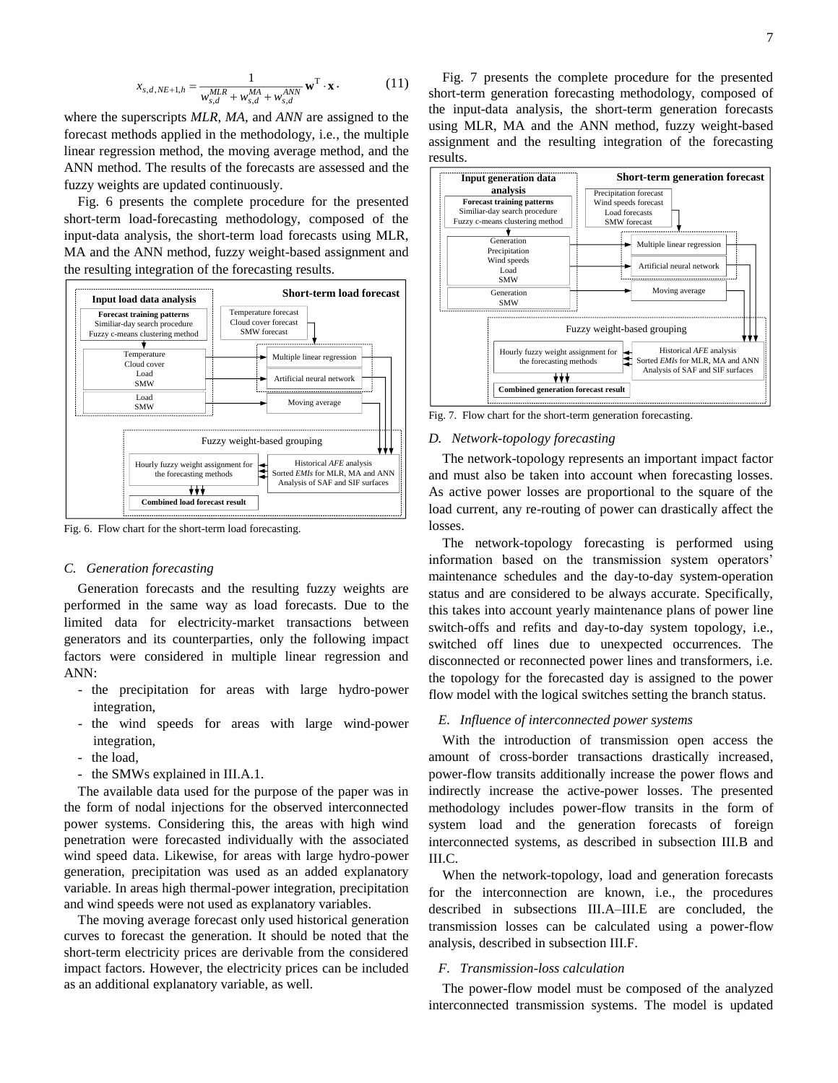$$
x_{s,d,NE+1,h} = \frac{1}{w_{s,d}^{MLR} + w_{s,d}^{MA} + w_{s,d}^{ANN}} \mathbf{w}^{\mathrm{T}} \cdot \mathbf{x}.
$$
 (11)

where the superscripts *MLR*, *MA*, and *ANN* are assigned to the forecast methods applied in the methodology, i.e., the multiple linear regression method, the moving average method, and the ANN method. The results of the forecasts are assessed and the fuzzy weights are updated continuously.

Fig. 6 presents the complete procedure for the presented short-term load-forecasting methodology, composed of the input-data analysis, the short-term load forecasts using MLR, MA and the ANN method, fuzzy weight-based assignment and the resulting integration of the forecasting results.



Fig. 6. Flow chart for the short-term load forecasting.

# *C. Generation forecasting*

Generation forecasts and the resulting fuzzy weights are performed in the same way as load forecasts. Due to the limited data for electricity-market transactions between generators and its counterparties, only the following impact factors were considered in multiple linear regression and ANN:

- the precipitation for areas with large hydro-power integration,
- the wind speeds for areas with large wind-power integration,
- the load,
- the SMWs explained in III.A.1.

The available data used for the purpose of the paper was in the form of nodal injections for the observed interconnected power systems. Considering this, the areas with high wind penetration were forecasted individually with the associated wind speed data. Likewise, for areas with large hydro-power generation, precipitation was used as an added explanatory variable. In areas high thermal-power integration, precipitation and wind speeds were not used as explanatory variables.

The moving average forecast only used historical generation curves to forecast the generation. It should be noted that the short-term electricity prices are derivable from the considered impact factors. However, the electricity prices can be included as an additional explanatory variable, as well.

Fig. 7 presents the complete procedure for the presented short-term generation forecasting methodology, composed of the input-data analysis, the short-term generation forecasts using MLR, MA and the ANN method, fuzzy weight-based assignment and the resulting integration of the forecasting results.



Fig. 7. Flow chart for the short-term generation forecasting.

#### *D. Network-topology forecasting*

The network-topology represents an important impact factor and must also be taken into account when forecasting losses. As active power losses are proportional to the square of the load current, any re-routing of power can drastically affect the losses.

The network-topology forecasting is performed using information based on the transmission system operators' maintenance schedules and the day-to-day system-operation status and are considered to be always accurate. Specifically, this takes into account yearly maintenance plans of power line switch-offs and refits and day-to-day system topology, i.e., switched off lines due to unexpected occurrences. The disconnected or reconnected power lines and transformers, i.e. the topology for the forecasted day is assigned to the power flow model with the logical switches setting the branch status.

## *E. Influence of interconnected power systems*

With the introduction of transmission open access the amount of cross-border transactions drastically increased, power-flow transits additionally increase the power flows and indirectly increase the active-power losses. The presented methodology includes power-flow transits in the form of system load and the generation forecasts of foreign interconnected systems, as described in subsection III.B and III.C.

When the network-topology, load and generation forecasts for the interconnection are known, i.e., the procedures described in subsections III.A–III.E are concluded, the transmission losses can be calculated using a power-flow analysis, described in subsection III.F.

## *F. Transmission-loss calculation*

The power-flow model must be composed of the analyzed interconnected transmission systems. The model is updated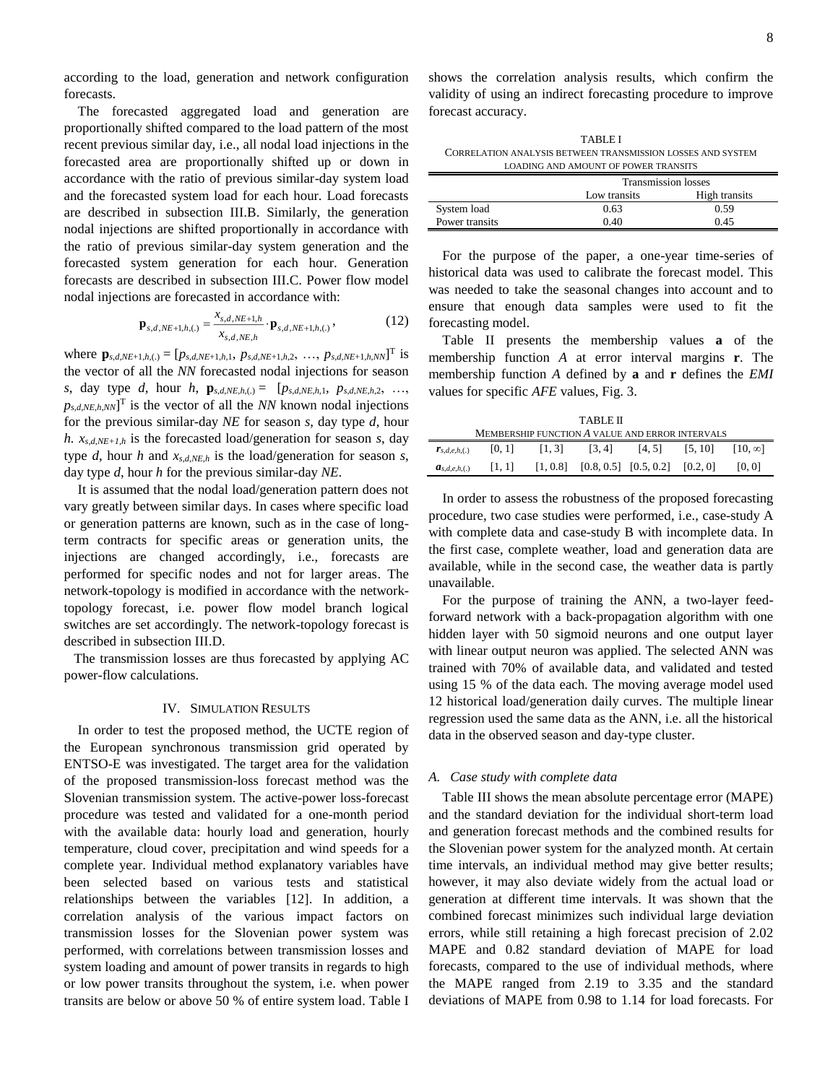according to the load, generation and network configuration forecasts.

The forecasted aggregated load and generation are proportionally shifted compared to the load pattern of the most recent previous similar day, i.e., all nodal load injections in the forecasted area are proportionally shifted up or down in accordance with the ratio of previous similar-day system load and the forecasted system load for each hour. Load forecasts are described in subsection III.B. Similarly, the generation nodal injections are shifted proportionally in accordance with the ratio of previous similar-day system generation and the forecasted system generation for each hour. Generation forecasts are described in subsection III.C. Power flow model nodal injections are forecasted in accordance with:

$$
\mathbf{p}_{s,d,NE+1,h,(.)} = \frac{x_{s,d,NE+1,h}}{x_{s,d,NE,h}} \cdot \mathbf{p}_{s,d,NE+1,h,(.)},
$$
 (12)

where  $\mathbf{p}_{s,d,NE+1,h,(.)} = [p_{s,d,NE+1,h,1}, p_{s,d,NE+1,h,2}, ..., p_{s,d,NE+1,h,NN}]$  is the vector of all the *NN* forecasted nodal injections for season *s*, day type *d*, hour *h*,  $\mathbf{p}_{s,d,NE,h,(.)} = [p_{s,d,NE,h,1}, p_{s,d,NE,h,2}, ...,$  $p_{s,d,NE,h,NN}$ <sup>T</sup> is the vector of all the *NN* known nodal injections for the previous similar-day *NE* for season *s*, day type *d*, hour *h.*  $x_{s,d,NE+1,h}$  is the forecasted load/generation for season *s*, day type *d*, hour *h* and  $x_{s,d,NE,h}$  is the load/generation for season *s*, day type *d*, hour *h* for the previous similar-day *NE*.

It is assumed that the nodal load/generation pattern does not vary greatly between similar days. In cases where specific load or generation patterns are known, such as in the case of longterm contracts for specific areas or generation units, the injections are changed accordingly, i.e., forecasts are performed for specific nodes and not for larger areas. The network-topology is modified in accordance with the networktopology forecast, i.e. power flow model branch logical switches are set accordingly. The network-topology forecast is described in subsection III.D.

The transmission losses are thus forecasted by applying AC power-flow calculations.

# IV. SIMULATION RESULTS

In order to test the proposed method, the UCTE region of the European synchronous transmission grid operated by ENTSO-E was investigated. The target area for the validation of the proposed transmission-loss forecast method was the Slovenian transmission system. The active-power loss-forecast procedure was tested and validated for a one-month period with the available data: hourly load and generation, hourly temperature, cloud cover, precipitation and wind speeds for a complete year. Individual method explanatory variables have been selected based on various tests and statistical relationships between the variables [\[12\].](#page-10-11) In addition, a correlation analysis of the various impact factors on transmission losses for the Slovenian power system was performed, with correlations between transmission losses and system loading and amount of power transits in regards to high or low power transits throughout the system, i.e. when power transits are below or above 50 % of entire system load. Table I shows the correlation analysis results, which confirm the validity of using an indirect forecasting procedure to improve forecast accuracy.

| <b>TABLE I</b>                                              |  |
|-------------------------------------------------------------|--|
| CORRELATION ANALYSIS BETWEEN TRANSMISSION LOSSES AND SYSTEM |  |
| <b>LOADING AND AMOUNT OF POWER TRANSITS</b>                 |  |

|                | <b>Transmission losses</b> |               |  |
|----------------|----------------------------|---------------|--|
|                | Low transits               | High transits |  |
| System load    | 0.63                       | 0.59          |  |
| Power transits | 0.40                       | 0.45          |  |

For the purpose of the paper, a one-year time-series of historical data was used to calibrate the forecast model. This was needed to take the seasonal changes into account and to ensure that enough data samples were used to fit the forecasting model.

Table II presents the membership values **a** of the membership function *A* at error interval margins **r**. The membership function *A* defined by **a** and **r** defines the *EMI* values for specific *AFE* values, Fig. 3.

| TABLE II                                        |        |        |        |                                                 |                    |                |
|-------------------------------------------------|--------|--------|--------|-------------------------------------------------|--------------------|----------------|
| MEMBERSHIP FUNCTION A VALUE AND ERROR INTERVALS |        |        |        |                                                 |                    |                |
| $\mathbf{r}_{s,d,e,h,}(.)$                      | [0, 1] | [1, 3] | [3, 4] |                                                 | $[4, 5]$ $[5, 10]$ | $[10, \infty]$ |
| $a_{s,d,e,h}$ .                                 | [1, 1] |        |        | $[1, 0.8]$ $[0.8, 0.5]$ $[0.5, 0.2]$ $[0.2, 0]$ |                    | TO. 01         |

In order to assess the robustness of the proposed forecasting procedure, two case studies were performed, i.e., case-study A with complete data and case-study B with incomplete data. In the first case, complete weather, load and generation data are available, while in the second case, the weather data is partly unavailable.

For the purpose of training the ANN, a two-layer feedforward network with a back-propagation algorithm with one hidden layer with 50 sigmoid neurons and one output layer with linear output neuron was applied. The selected ANN was trained with 70% of available data, and validated and tested using 15 % of the data each. The moving average model used 12 historical load/generation daily curves. The multiple linear regression used the same data as the ANN, i.e. all the historical data in the observed season and day-type cluster.

# *A. Case study with complete data*

Table III shows the mean absolute percentage error (MAPE) and the standard deviation for the individual short-term load and generation forecast methods and the combined results for the Slovenian power system for the analyzed month. At certain time intervals, an individual method may give better results; however, it may also deviate widely from the actual load or generation at different time intervals. It was shown that the combined forecast minimizes such individual large deviation errors, while still retaining a high forecast precision of 2.02 MAPE and 0.82 standard deviation of MAPE for load forecasts, compared to the use of individual methods, where the MAPE ranged from 2.19 to 3.35 and the standard deviations of MAPE from 0.98 to 1.14 for load forecasts. For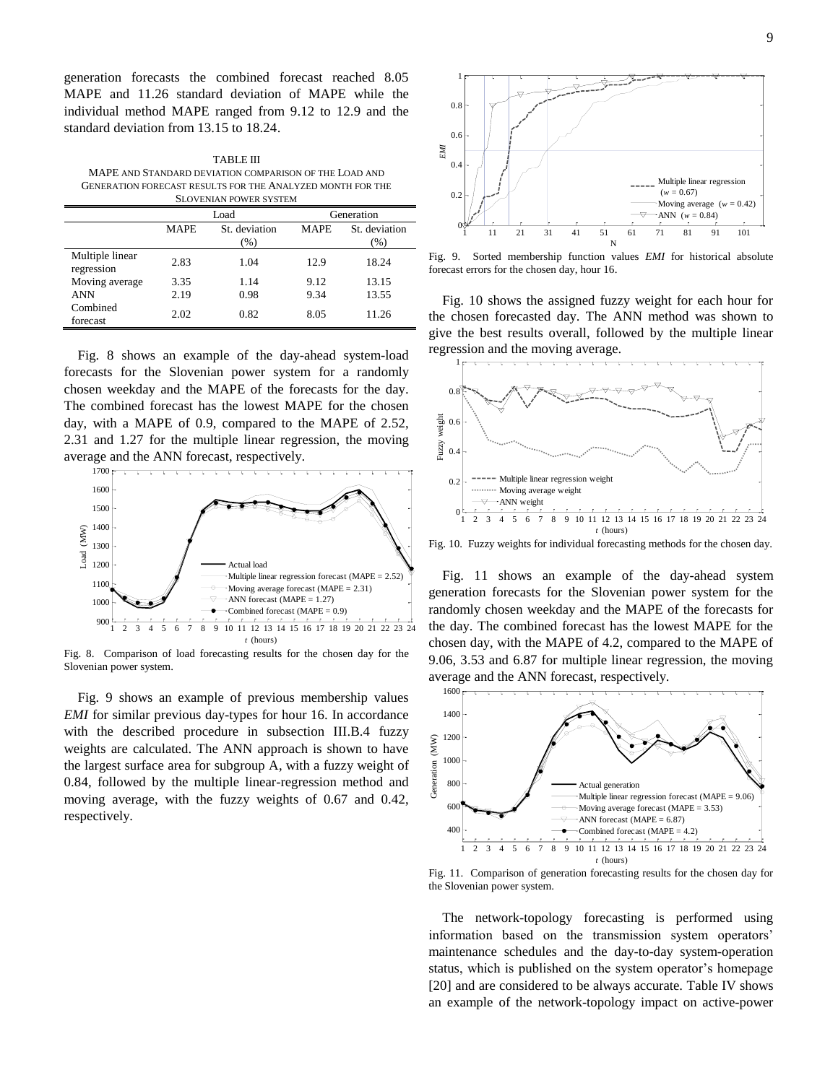generation forecasts the combined forecast reached 8.05 MAPE and 11.26 standard deviation of MAPE while the individual method MAPE ranged from 9.12 to 12.9 and the standard deviation from 13.15 to 18.24.

TABLE III MAPE AND STANDARD DEVIATION COMPARISON OF THE LOAD AND GENERATION FORECAST RESULTS FOR THE ANALYZED MONTH FOR THE

|                               |             | <b>SLOVENIAN POWER SYSTEM</b> |             |                         |
|-------------------------------|-------------|-------------------------------|-------------|-------------------------|
|                               |             | Load                          |             | Generation              |
|                               | <b>MAPE</b> | St. deviation<br>$(\%)$       | <b>MAPE</b> | St. deviation<br>$(\%)$ |
| Multiple linear<br>regression | 2.83        | 1.04                          | 12.9        | 18.24                   |
| Moving average                | 3.35        | 1.14                          | 9.12        | 13.15                   |
| <b>ANN</b>                    | 2.19        | 0.98                          | 9.34        | 13.55                   |
| Combined<br>forecast          | 2.02        | 0.82                          | 8.05        | 11.26                   |

Fig. 8 shows an example of the day-ahead system-load forecasts for the Slovenian power system for a randomly chosen weekday and the MAPE of the forecasts for the day. The combined forecast has the lowest MAPE for the chosen day, with a MAPE of 0.9, compared to the MAPE of 2.52, 2.31 and 1.27 for the multiple linear regression, the moving average and the ANN forecast, respectively.



Fig. 8. Comparison of load forecasting results for the chosen day for the Slovenian power system.

Fig. 9 shows an example of previous membership values *EMI* for similar previous day-types for hour 16. In accordance with the described procedure in subsection III.B.4 fuzzy weights are calculated. The ANN approach is shown to have the largest surface area for subgroup A, with a fuzzy weight of 0.84, followed by the multiple linear-regression method and moving average, with the fuzzy weights of 0.67 and 0.42, respectively.



Fig. 9. Sorted membership function values *EMI* for historical absolute forecast errors for the chosen day, hour 16.

Fig. 10 shows the assigned fuzzy weight for each hour for the chosen forecasted day. The ANN method was shown to give the best results overall, followed by the multiple linear regression and the moving average.



Fig. 10. Fuzzy weights for individual forecasting methods for the chosen day.

Fig. 11 shows an example of the day-ahead system generation forecasts for the Slovenian power system for the randomly chosen weekday and the MAPE of the forecasts for the day. The combined forecast has the lowest MAPE for the chosen day, with the MAPE of 4.2, compared to the MAPE of 9.06, 3.53 and 6.87 for multiple linear regression, the moving average and the ANN forecast, respectively.



Fig. 11. Comparison of generation forecasting results for the chosen day for the Slovenian power system.

The network-topology forecasting is performed using information based on the transmission system operators' maintenance schedules and the day-to-day system-operation status, which is published on the system operator's homepage [\[20\]](#page-11-0) and are considered to be always accurate. Table IV shows an example of the network-topology impact on active-power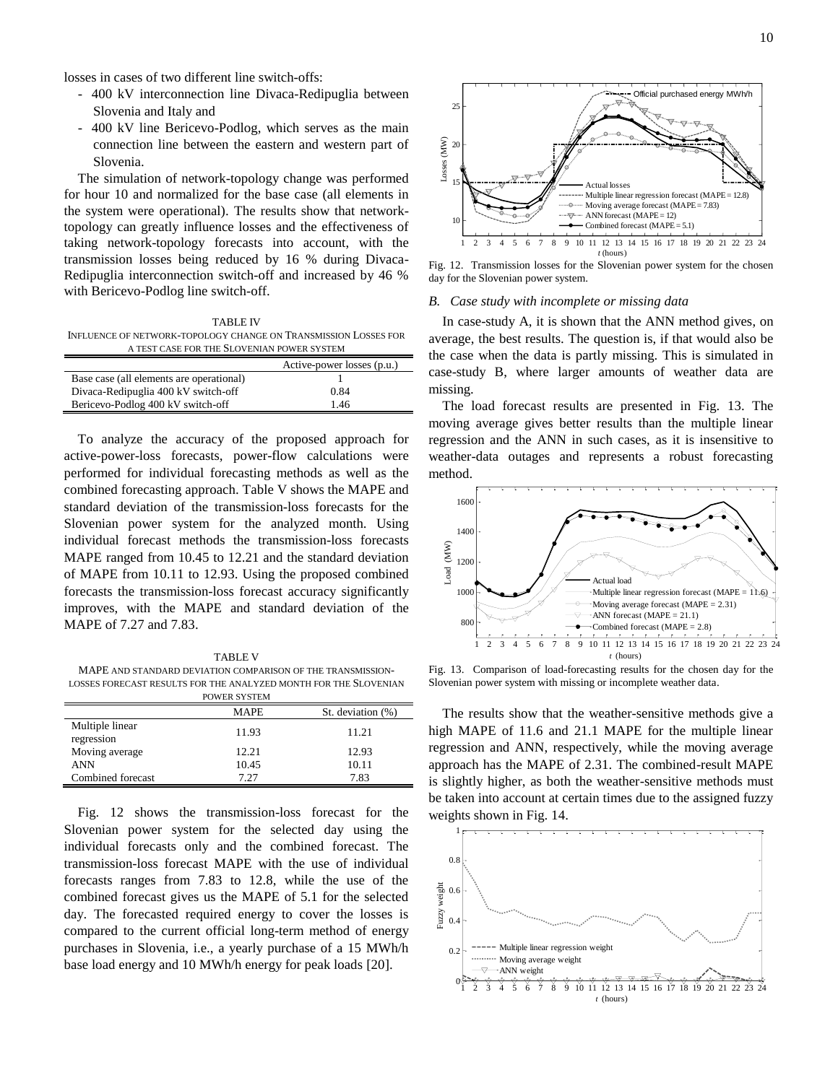losses in cases of two different line switch-offs:

- 400 kV interconnection line Divaca-Redipuglia between Slovenia and Italy and
- 400 kV line Bericevo-Podlog, which serves as the main connection line between the eastern and western part of Slovenia.

The simulation of network-topology change was performed for hour 10 and normalized for the base case (all elements in the system were operational). The results show that networktopology can greatly influence losses and the effectiveness of taking network-topology forecasts into account, with the transmission losses being reduced by 16 % during Divaca-Redipuglia interconnection switch-off and increased by 46 % with Bericevo-Podlog line switch-off.

TABLE IV INFLUENCE OF NETWORK-TOPOLOGY CHANGE ON TRANSMISSION LOSSES FOR A TEST CASE FOR THE SLOVENIAN POWER SYSTEM

|                                          | Active-power losses (p.u.) |
|------------------------------------------|----------------------------|
| Base case (all elements are operational) |                            |
| Divaca-Redipuglia 400 kV switch-off      | 0.84                       |
| Bericevo-Podlog 400 kV switch-off        | 1.46                       |

To analyze the accuracy of the proposed approach for active-power-loss forecasts, power-flow calculations were performed for individual forecasting methods as well as the combined forecasting approach. Table V shows the MAPE and standard deviation of the transmission-loss forecasts for the Slovenian power system for the analyzed month. Using individual forecast methods the transmission-loss forecasts MAPE ranged from 10.45 to 12.21 and the standard deviation of MAPE from 10.11 to 12.93. Using the proposed combined forecasts the transmission-loss forecast accuracy significantly improves, with the MAPE and standard deviation of the MAPE of 7.27 and 7.83.

TABLE V MAPE AND STANDARD DEVIATION COMPARISON OF THE TRANSMISSION-LOSSES FORECAST RESULTS FOR THE ANALYZED MONTH FOR THE SLOVENIAN

|                               | <b>POWER SYSTEM</b> |                      |
|-------------------------------|---------------------|----------------------|
|                               | <b>MAPE</b>         | St. deviation $(\%)$ |
| Multiple linear<br>regression | 11.93               | 11.21                |
| Moving average                | 12.21               | 12.93                |
| <b>ANN</b>                    | 10.45               | 10.11                |
| Combined forecast             | 7.27                | 7.83                 |

Fig. 12 shows the transmission-loss forecast for the Slovenian power system for the selected day using the individual forecasts only and the combined forecast. The transmission-loss forecast MAPE with the use of individual forecasts ranges from 7.83 to 12.8, while the use of the combined forecast gives us the MAPE of 5.1 for the selected day. The forecasted required energy to cover the losses is compared to the current official long-term method of energy purchases in Slovenia, i.e., a yearly purchase of a 15 MWh/h base load energy and 10 MWh/h energy for peak loads [\[20\].](#page-11-0)



Fig. 12. Transmission losses for the Slovenian power system for the chosen day for the Slovenian power system.

## *B. Case study with incomplete or missing data*

In case-study A, it is shown that the ANN method gives, on average, the best results. The question is, if that would also be the case when the data is partly missing. This is simulated in case-study B, where larger amounts of weather data are missing.

The load forecast results are presented in Fig. 13. The moving average gives better results than the multiple linear regression and the ANN in such cases, as it is insensitive to weather-data outages and represents a robust forecasting method.



Fig. 13. Comparison of load-forecasting results for the chosen day for the Slovenian power system with missing or incomplete weather data.

The results show that the weather-sensitive methods give a high MAPE of 11.6 and 21.1 MAPE for the multiple linear regression and ANN, respectively, while the moving average approach has the MAPE of 2.31. The combined-result MAPE is slightly higher, as both the weather-sensitive methods must be taken into account at certain times due to the assigned fuzzy weights shown in Fig. 14.

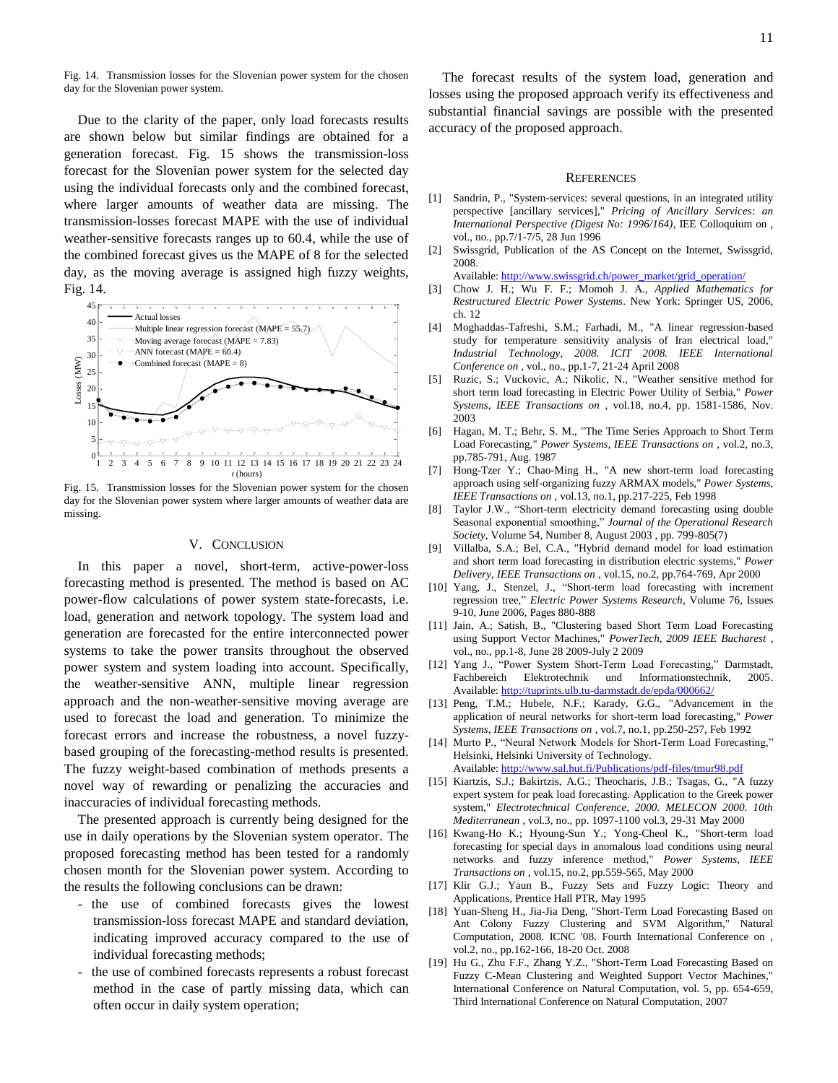Fig. 14. Transmission losses for the Slovenian power system for the chosen day for the Slovenian power system.

Due to the clarity of the paper, only load forecasts results are shown below but similar findings are obtained for a generation forecast. Fig. 15 shows the transmission-loss forecast for the Slovenian power system for the selected day using the individual forecasts only and the combined forecast, where larger amounts of weather data are missing. The transmission-losses forecast MAPE with the use of individual weather-sensitive forecasts ranges up to 60.4, while the use of the combined forecast gives us the MAPE of 8 for the selected day, as the moving average is assigned high fuzzy weights, Fig. 14.



Fig. 15. Transmission losses for the Slovenian power system for the chosen day for the Slovenian power system where larger amounts of weather data are missing.

#### V. CONCLUSION

In this paper a novel, short-term, active-power-loss forecasting method is presented. The method is based on AC power-flow calculations of power system state-forecasts, i.e. load, generation and network topology. The system load and generation are forecasted for the entire interconnected power systems to take the power transits throughout the observed power system and system loading into account. Specifically, the weather-sensitive ANN, multiple linear regression approach and the non-weather-sensitive moving average are used to forecast the load and generation. To minimize the forecast errors and increase the robustness, a novel fuzzybased grouping of the forecasting-method results is presented. The fuzzy weight-based combination of methods presents a novel way of rewarding or penalizing the accuracies and inaccuracies of individual forecasting methods.

The presented approach is currently being designed for the use in daily operations by the Slovenian system operator. The proposed forecasting method has been tested for a randomly chosen month for the Slovenian power system. According to the results the following conclusions can be drawn:

- the use of combined forecasts gives the lowest transmission-loss forecast MAPE and standard deviation, indicating improved accuracy compared to the use of individual forecasting methods;
- the use of combined forecasts represents a robust forecast method in the case of partly missing data, which can often occur in daily system operation;

The forecast results of the system load, generation and losses using the proposed approach verify its effectiveness and substantial financial savings are possible with the presented accuracy of the proposed approach.

#### **REFERENCES**

- <span id="page-10-0"></span>[1] Sandrin, P., "System-services: several questions, in an integrated utility perspective [ancillary services]," *Pricing of Ancillary Services: an International Perspective (Digest No: 1996/164)*, IEE Colloquium on , vol., no., pp.7/1-7/5, 28 Jun 1996
- <span id="page-10-1"></span>[2] Swissgrid, Publication of the AS Concept on the Internet, Swissgrid, 2008.

Available: [http://www.swissgrid.ch/power\\_market/grid\\_operation/](http://www.swissgrid.ch/power_market/grid_operation/)

- <span id="page-10-2"></span>[3] Chow J. H.; Wu F. F.; Momoh J. A., *Applied Mathematics for Restructured Electric Power Systems*. New York: Springer US, 2006, ch. 12
- <span id="page-10-3"></span>[4] Moghaddas-Tafreshi, S.M.; Farhadi, M., "A linear regression-based study for temperature sensitivity analysis of Iran electrical load," *Industrial Technology, 2008. ICIT 2008. IEEE International Conference on* , vol., no., pp.1-7, 21-24 April 2008
- <span id="page-10-4"></span>[5] Ruzic, S.; Vuckovic, A.; Nikolic, N., "Weather sensitive method for short term load forecasting in Electric Power Utility of Serbia," *Power Systems, IEEE Transactions on* , vol.18, no.4, pp. 1581-1586, Nov. 2003
- <span id="page-10-5"></span>[6] Hagan, M. T.; Behr, S. M., "The Time Series Approach to Short Term Load Forecasting," *Power Systems, IEEE Transactions on* , vol.2, no.3, pp.785-791, Aug. 1987
- <span id="page-10-6"></span>[7] Hong-Tzer Y.; Chao-Ming H., "A new short-term load forecasting approach using self-organizing fuzzy ARMAX models," *Power Systems, IEEE Transactions on* , vol.13, no.1, pp.217-225, Feb 1998
- <span id="page-10-7"></span>[8] Taylor J.W., "Short-term electricity demand forecasting using double Seasonal exponential smoothing," *Journal of the Operational Research Society*, Volume 54, Number 8, August 2003 , pp. 799-805(7)
- <span id="page-10-8"></span>[9] Villalba, S.A.; Bel, C.A., "Hybrid demand model for load estimation and short term load forecasting in distribution electric systems," *Power Delivery, IEEE Transactions on* , vol.15, no.2, pp.764-769, Apr 2000
- <span id="page-10-9"></span>[10] Yang, J., Stenzel, J., "Short-term load forecasting with increment regression tree," *Electric Power Systems Research*, Volume 76, Issues 9-10, June 2006, Pages 880-888
- <span id="page-10-10"></span>[11] Jain, A.; Satish, B., "Clustering based Short Term Load Forecasting using Support Vector Machines," *PowerTech, 2009 IEEE Bucharest* , vol., no., pp.1-8, June 28 2009-July 2 2009
- <span id="page-10-11"></span>[12] Yang J., "Power System Short-Term Load Forecasting," Darmstadt, Fachbereich Elektrotechnik und Informationstechnik, 2005. Available: <http://tuprints.ulb.tu-darmstadt.de/epda/000662/>
- <span id="page-10-12"></span>[13] Peng, T.M.; Hubele, N.F.; Karady, G.G., "Advancement in the application of neural networks for short-term load forecasting," *Power Systems, IEEE Transactions on* , vol.7, no.1, pp.250-257, Feb 1992
- <span id="page-10-13"></span>[14] Murto P., "Neural Network Models for Short-Term Load Forecasting," Helsinki, Helsinki University of Technology. Available: <http://www.sal.hut.fi/Publications/pdf-files/tmur98.pdf>
- <span id="page-10-14"></span>[15] Kiartzis, S.J.; Bakirtzis, A.G.; Theocharis, J.B.; Tsagas, G., "A fuzzy expert system for peak load forecasting. Application to the Greek power system," *Electrotechnical Conference, 2000. MELECON 2000. 10th Mediterranean* , vol.3, no., pp. 1097-1100 vol.3, 29-31 May 2000
- <span id="page-10-15"></span>[16] Kwang-Ho K.; Hyoung-Sun Y.; Yong-Cheol K., "Short-term load forecasting for special days in anomalous load conditions using neural networks and fuzzy inference method," *Power Systems, IEEE Transactions on* , vol.15, no.2, pp.559-565, May 2000
- <span id="page-10-16"></span>[17] Klir G.J.; Yaun B., Fuzzy Sets and Fuzzy Logic: Theory and Applications, Prentice Hall PTR, May 1995
- <span id="page-10-17"></span>[18] Yuan-Sheng H., Jia-Jia Deng, "Short-Term Load Forecasting Based on Ant Colony Fuzzy Clustering and SVM Algorithm," Natural Computation, 2008. ICNC '08. Fourth International Conference on , vol.2, no., pp.162-166, 18-20 Oct. 2008
- <span id="page-10-18"></span>[19] Hu G., Zhu F.F., Zhang Y.Z., "Short-Term Load Forecasting Based on Fuzzy C-Mean Clustering and Weighted Support Vector Machines," International Conference on Natural Computation, vol. 5, pp. 654-659, Third International Conference on Natural Computation, 2007